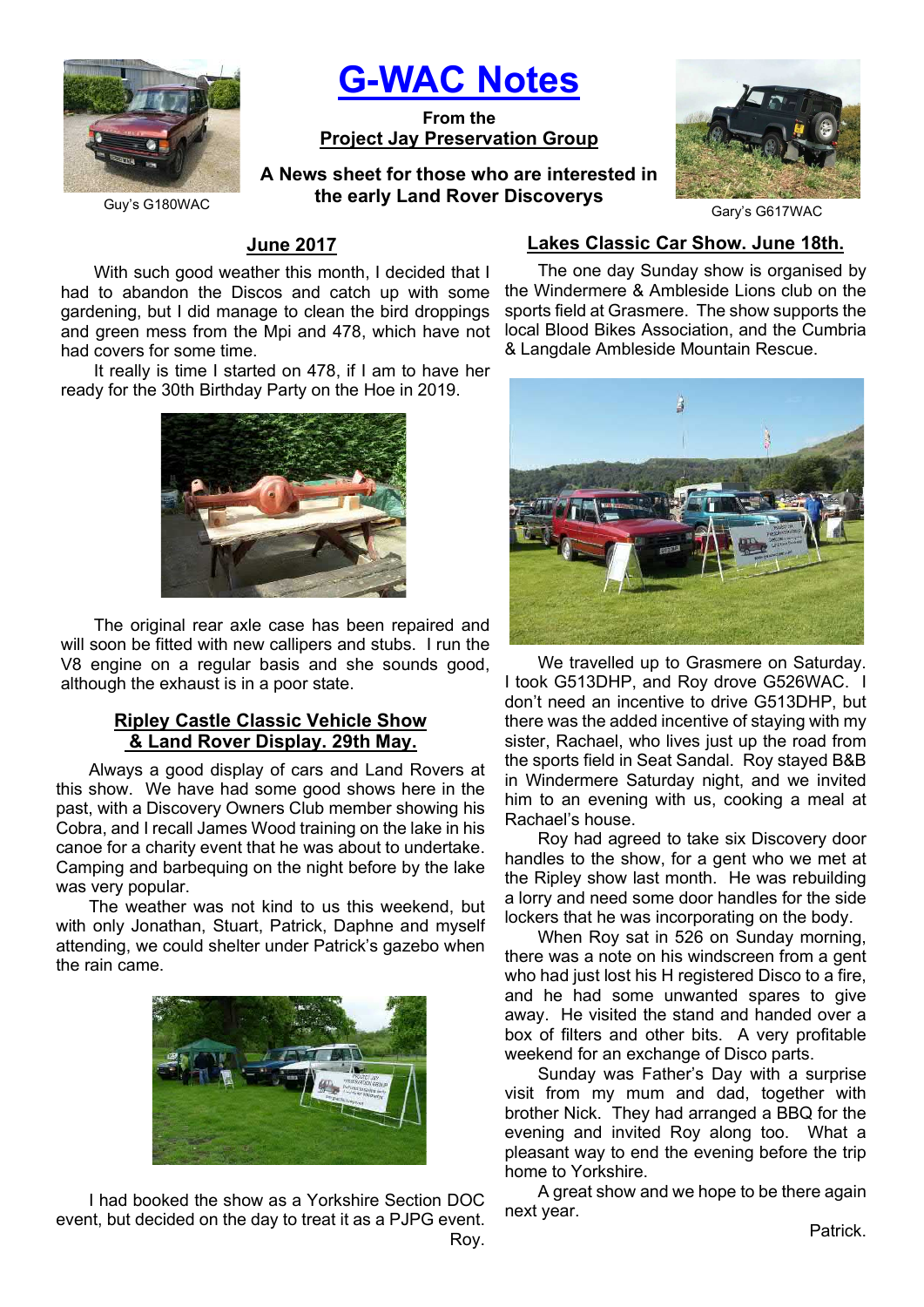

# G-WAC Notes

From the Project Jay Preservation Group

A News sheet for those who are interested in the early Land Rover Discoverys



Gary's G617WAC

#### Guy's G180WAC

# June 2017

With such good weather this month, I decided that I had to abandon the Discos and catch up with some gardening, but I did manage to clean the bird droppings and green mess from the Mpi and 478, which have not had covers for some time.

It really is time I started on 478, if I am to have her ready for the 30th Birthday Party on the Hoe in 2019.



The original rear axle case has been repaired and will soon be fitted with new callipers and stubs. I run the V8 engine on a regular basis and she sounds good, although the exhaust is in a poor state.

# Ripley Castle Classic Vehicle Show & Land Rover Display. 29th May.

Always a good display of cars and Land Rovers at this show. We have had some good shows here in the past, with a Discovery Owners Club member showing his Cobra, and I recall James Wood training on the lake in his canoe for a charity event that he was about to undertake. Camping and barbequing on the night before by the lake was very popular.

The weather was not kind to us this weekend, but with only Jonathan, Stuart, Patrick, Daphne and myself attending, we could shelter under Patrick's gazebo when the rain came.



I had booked the show as a Yorkshire Section DOC event, but decided on the day to treat it as a PJPG event. Roy.

## Lakes Classic Car Show. June 18th.

The one day Sunday show is organised by the Windermere & Ambleside Lions club on the sports field at Grasmere. The show supports the local Blood Bikes Association, and the Cumbria & Langdale Ambleside Mountain Rescue.



We travelled up to Grasmere on Saturday. I took G513DHP, and Roy drove G526WAC. I don't need an incentive to drive G513DHP, but there was the added incentive of staying with my sister, Rachael, who lives just up the road from the sports field in Seat Sandal. Roy stayed B&B in Windermere Saturday night, and we invited him to an evening with us, cooking a meal at Rachael's house.

Roy had agreed to take six Discovery door handles to the show, for a gent who we met at the Ripley show last month. He was rebuilding a lorry and need some door handles for the side lockers that he was incorporating on the body.

When Roy sat in 526 on Sunday morning, there was a note on his windscreen from a gent who had just lost his H registered Disco to a fire, and he had some unwanted spares to give away. He visited the stand and handed over a box of filters and other bits. A very profitable weekend for an exchange of Disco parts.

Sunday was Father's Day with a surprise visit from my mum and dad, together with brother Nick. They had arranged a BBQ for the evening and invited Roy along too. What a pleasant way to end the evening before the trip home to Yorkshire.

A great show and we hope to be there again next year.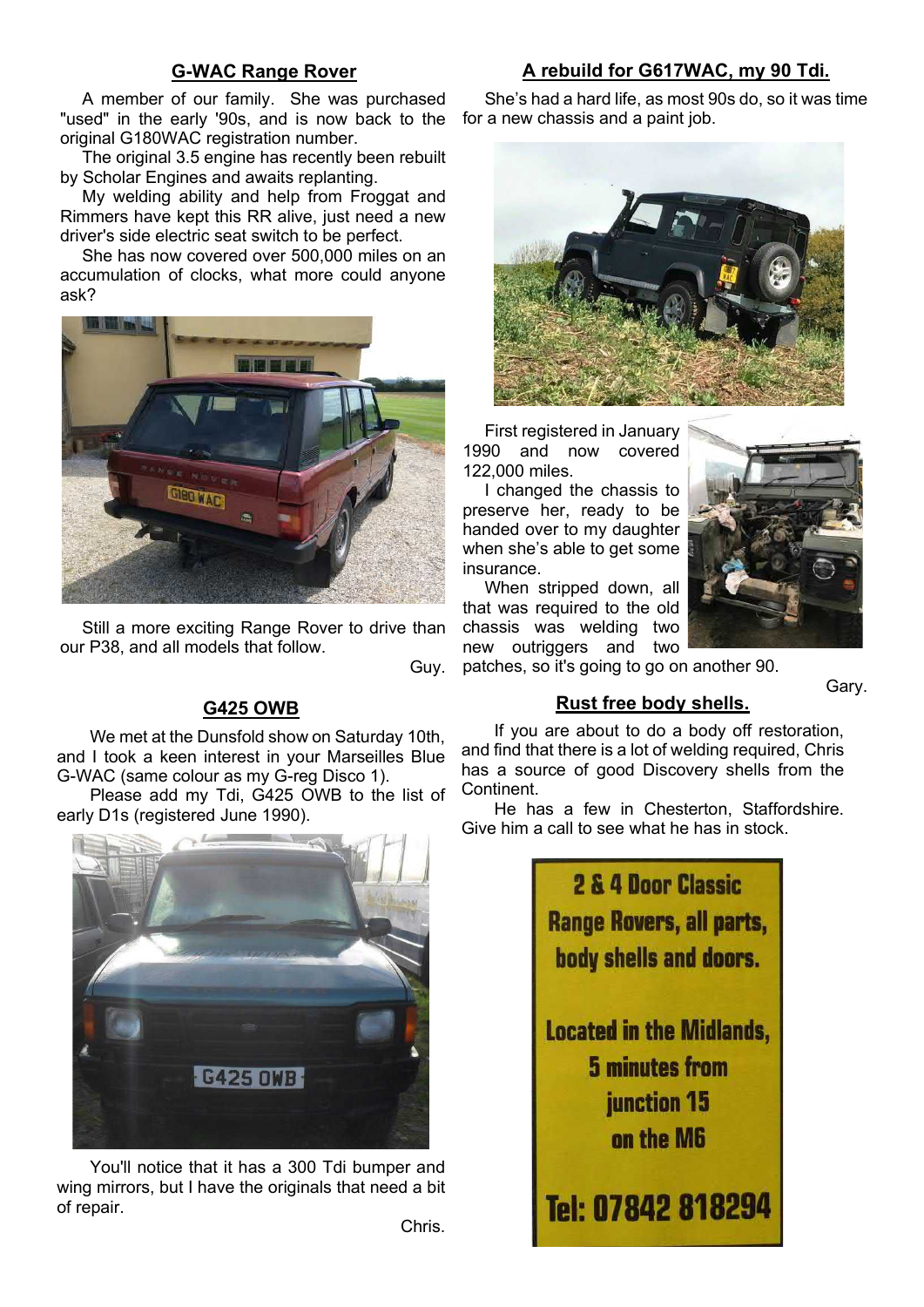# G-WAC Range Rover

# A rebuild for G617WAC, my 90 Tdi.

A member of our family. She was purchased "used" in the early '90s, and is now back to the for a new chassis and a paint job. original G180WAC registration number.

The original 3.5 engine has recently been rebuilt by Scholar Engines and awaits replanting.

My welding ability and help from Froggat and Rimmers have kept this RR alive, just need a new driver's side electric seat switch to be perfect.

She has now covered over 500,000 miles on an accumulation of clocks, what more could anyone ask?



Still a more exciting Range Rover to drive than our P38, and all models that follow.

Guy.

# G425 OWB

We met at the Dunsfold show on Saturday 10th, and I took a keen interest in your Marseilles Blue G-WAC (same colour as my G-reg Disco 1).

Please add my Tdi, G425 OWB to the list of early D1s (registered June 1990).



You'll notice that it has a 300 Tdi bumper and wing mirrors, but I have the originals that need a bit of repair.

She's had a hard life, as most 90s do, so it was time



First registered in January 1990 and now covered 122,000 miles.

I changed the chassis to preserve her, ready to be handed over to my daughter when she's able to get some insurance.

When stripped down, all that was required to the old chassis was welding two new outriggers and two



patches, so it's going to go on another 90.

#### Gary.

Rust free body shells.

If you are about to do a body off restoration, and find that there is a lot of welding required, Chris has a source of good Discovery shells from the Continent.

He has a few in Chesterton, Staffordshire. Give him a call to see what he has in stock.

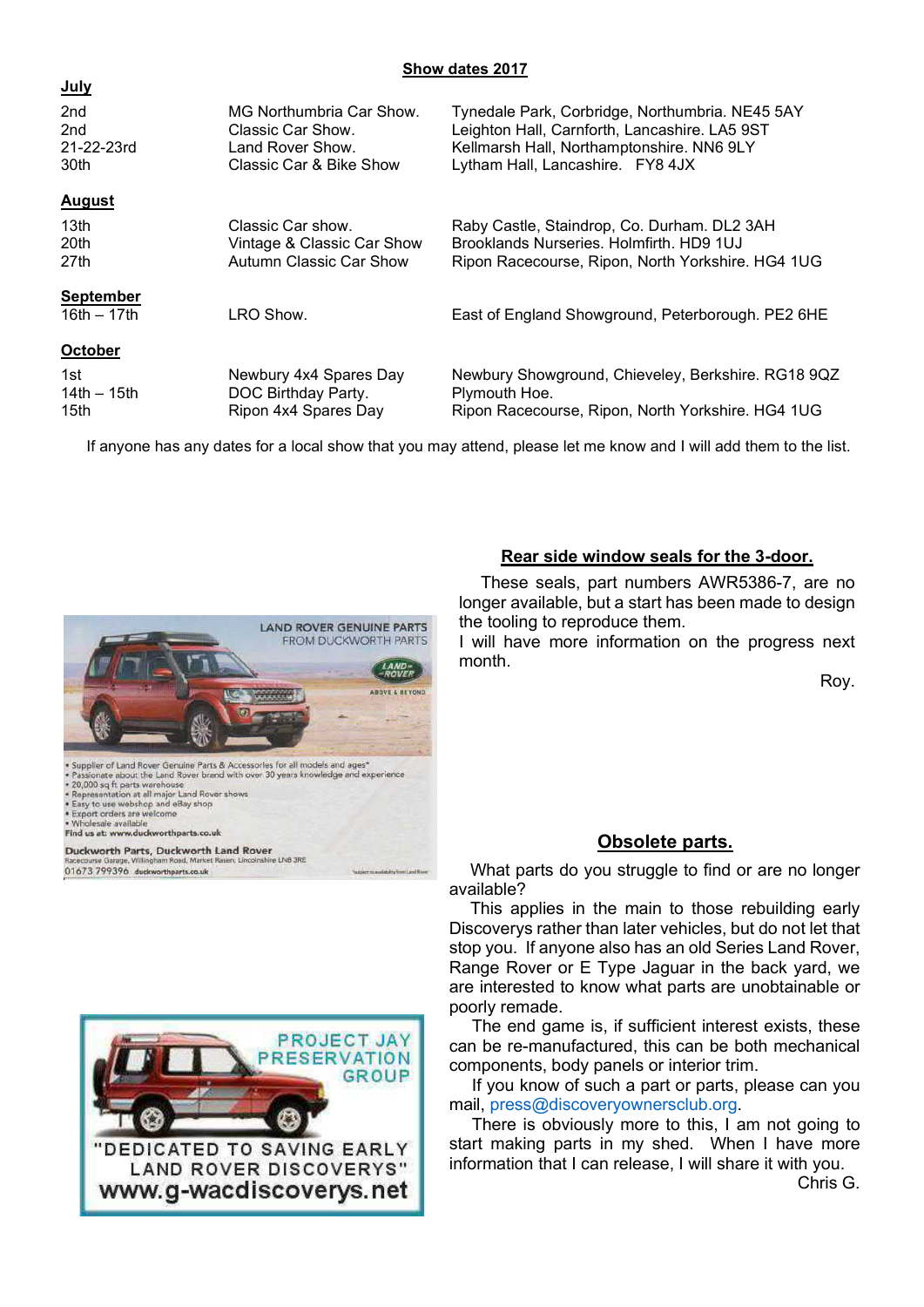#### Show dates 2017

| <u>vuiy</u>                       |                                                                                              |                                                                                                                                                                                   |
|-----------------------------------|----------------------------------------------------------------------------------------------|-----------------------------------------------------------------------------------------------------------------------------------------------------------------------------------|
| 2nd<br>2nd<br>21-22-23rd<br>30th  | MG Northumbria Car Show.<br>Classic Car Show.<br>Land Rover Show.<br>Classic Car & Bike Show | Tynedale Park, Corbridge, Northumbria. NE45 5AY<br>Leighton Hall, Carnforth, Lancashire. LA5 9ST<br>Kellmarsh Hall, Northamptonshire. NN6 9LY<br>Lytham Hall, Lancashire. FY8 4JX |
| <b>August</b>                     |                                                                                              |                                                                                                                                                                                   |
| 13 <sub>th</sub><br>20th<br>27th  | Classic Car show.<br>Vintage & Classic Car Show<br>Autumn Classic Car Show                   | Raby Castle, Staindrop, Co. Durham. DL2 3AH<br>Brooklands Nurseries, Holmfirth, HD9 1UJ<br>Ripon Racecourse, Ripon, North Yorkshire. HG4 1UG                                      |
| <b>September</b><br>$16th - 17th$ | LRO Show.                                                                                    | East of England Showground, Peterborough. PE2 6HE                                                                                                                                 |
| October                           |                                                                                              |                                                                                                                                                                                   |
| 1st.<br>14th $-$ 15th<br>15th     | Newbury 4x4 Spares Day<br>DOC Birthday Party.<br>Ripon 4x4 Spares Day                        | Newbury Showground, Chieveley, Berkshire. RG18 9QZ<br>Plymouth Hoe.<br>Ripon Racecourse, Ripon, North Yorkshire. HG4 1UG                                                          |

If anyone has any dates for a local show that you may attend, please let me know and I will add them to the list.



Duckworth Parts, Duckworth Land Rover .<br>Ire LNB 3RE 01673 799396 duckworthparts.co.uk



## Rear side window seals for the 3-door.

These seals, part numbers AWR5386-7, are no longer available, but a start has been made to design the tooling to reproduce them.

I will have more information on the progress next month.

Roy.

# Obsolete parts.

What parts do you struggle to find or are no longer available?

This applies in the main to those rebuilding early Discoverys rather than later vehicles, but do not let that stop you. If anyone also has an old Series Land Rover, Range Rover or E Type Jaguar in the back yard, we are interested to know what parts are unobtainable or poorly remade.

The end game is, if sufficient interest exists, these can be re-manufactured, this can be both mechanical components, body panels or interior trim.

If you know of such a part or parts, please can you mail, press@discoveryownersclub.org.

There is obviously more to this, I am not going to start making parts in my shed. When I have more information that I can release, I will share it with you.

Chris G.

#### July